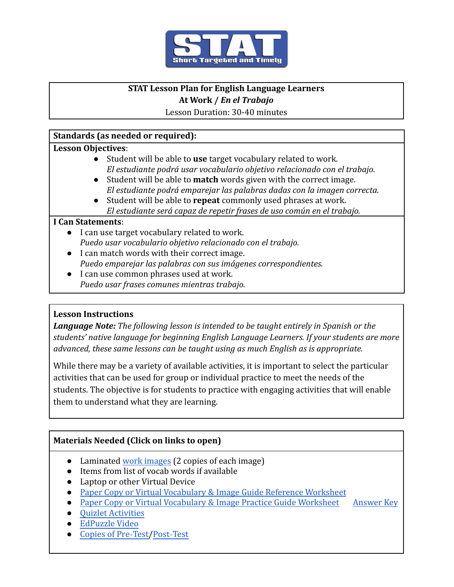

# **STAT Lesson Plan for English Language Learners**

## **At Work /** *En el Trabajo*

Lesson Duration: 30-40 minutes

## **Standards (as needed or required):**

#### **Lesson Objectives**:

- *●* Student will be able to **use** target vocabulary related to work. *El estudiante podrá usar vocabulario objetivo relacionado con el trabajo.*
- Student will be able to **match** words given with the correct image. *El estudiante podrá emparejar las palabras dadas con la imagen correcta.*
- Student will be able to **repeat** commonly used phrases at work. *El estudiante será capaz de repetir frases de uso común en el trabajo.*

## **I Can Statements**:

- I can use target vocabulary related to work. *Puedo usar vocabulario objetivo relacionado con el trabajo.*
- I can match words with their correct image. *Puedo emparejar las palabras con sus imágenes correspondientes.*
- I can use common phrases used at work. *Puedo usar frases comunes mientras trabajo.*

## **Lesson Instructions**

*Language Note: The following lesson is intended to be taught entirely in Spanish or the students' native language for beginning English Language Learners. If your students are more advanced, these same lessons can be taught using as much English as is appropriate.*

While there may be a variety of available activities, it is important to select the particular activities that can be used for group or individual practice to meet the needs of the students. The objective is for students to practice with engaging activities that will enable them to understand what they are learning.

# **Materials Needed (Click on links to open)**

- Laminated [work images](https://docs.google.com/document/d/1R5DJxjvBmbMd8vdj5xai47i5VlOQV4u5_ycCWu1MC1Y/edit) (2 copies of each image)
- Items from list of vocab words if available
- Laptop or other Virtual Device
- [Paper Copy or Virtual Vocabulary & Image Guide Reference Worksheet](https://docs.google.com/document/d/18zwm-j7gqAzlINCpu-TZC9B9kCbqxPhF6L2E-HL9B7E/edit?usp=sharing)
- [Paper Copy or Virtual Vocabulary & Image Practice Guide Worksheet](https://docs.google.com/document/d/1nV6RxIchl7oE8ChYwWcd1_03-GAP8Ddqc_niESv7Kpk/edit?usp=sharing) [Answer Key](https://docs.google.com/document/d/1zuwx3uPLyMyu1hl5i9D_TiG3-ZJiyb8cAK-q3vN1dTM/edit?usp=sharing)
- [Quizlet Activities](https://quizlet.com/_9vead0?x=1qqt&i=2rb91e)
- [EdPuzzle Video](https://edpuzzle.com/assignments/61a98ef77785ad42fe560e35/watch)
- [Copies of Pre](https://docs.google.com/document/u/1/d/1vBemgYle5pdZTjIhB7ze62XZQnSV_wlJSxV6xuFmLW4/edit)-Test[/Post](https://docs.google.com/document/u/1/d/1QtTLxQU0rIDB33qGbpmxoYjCV0kD2kLFz41eJKCjFRE/edit)-Test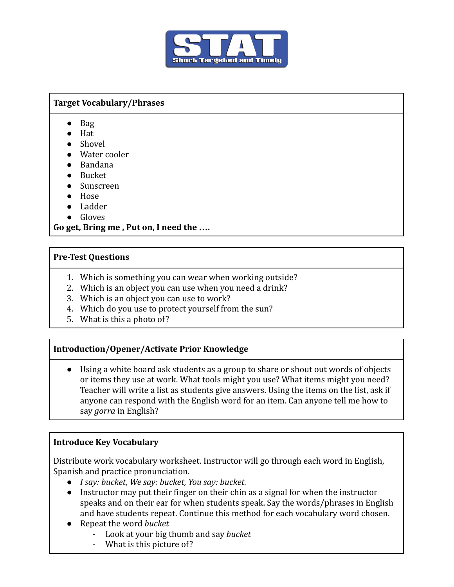

#### **Target Vocabulary/Phrases**

- Bag
- Hat
- Shovel
- Water cooler
- Bandana
- Bucket
- Sunscreen
- Hose
- Ladder
- Gloves

#### **Go get, Bring me , Put on, I need the ….**

#### **Pre-Test Questions**

- 1. Which is something you can wear when working outside?
- 2. Which is an object you can use when you need a drink?
- 3. Which is an object you can use to work?
- 4. Which do you use to protect yourself from the sun?
- 5. What is this a photo of?

## **Introduction/Opener/Activate Prior Knowledge**

● Using a white board ask students as a group to share or shout out words of objects or items they use at work. What tools might you use? What items might you need? Teacher will write a list as students give answers. Using the items on the list, ask if anyone can respond with the English word for an item. Can anyone tell me how to say *gorra* in English?

## **Introduce Key Vocabulary**

Distribute work vocabulary worksheet. Instructor will go through each word in English, Spanish and practice pronunciation.

- *I say: bucket, We say: bucket, You say: bucket.*
- *●* Instructor may put their finger on their chin as a signal for when the instructor speaks and on their ear for when students speak. Say the words/phrases in English and have students repeat. Continue this method for each vocabulary word chosen.
- *●* Repeat the word *bucket*
	- Look at your big thumb and say *bucket*
	- What is this picture of?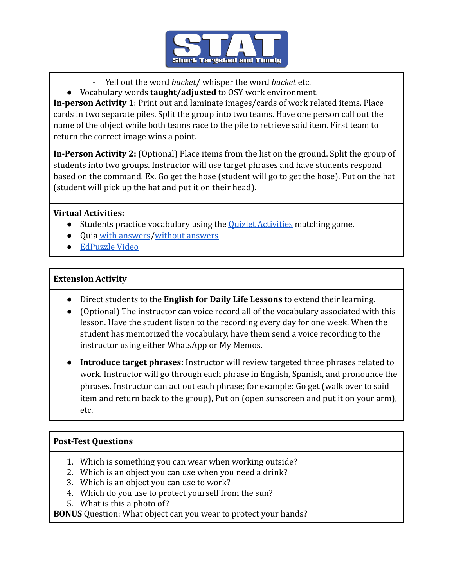

- Yell out the word *bucket*/ whisper the word *bucket* etc.
- *●* Vocabulary words **taught/adjusted** to OSY work environment.

**In-person Activity 1**: Print out and laminate images/cards of work related items. Place cards in two separate piles. Split the group into two teams. Have one person call out the name of the object while both teams race to the pile to retrieve said item. First team to return the correct image wins a point.

**In-Person Activity 2:** (Optional) Place items from the list on the ground. Split the group of students into two groups. Instructor will use target phrases and have students respond based on the command. Ex. Go get the hose (student will go to get the hose). Put on the hat (student will pick up the hat and put it on their head).

## **Virtual Activities:**

- Students practice vocabulary using the **[Quizlet Activities](https://quizlet.com/_9vead0?x=1qqt&i=2rb91e)** matching game.
- Quia [with answers](https://www.quia.com/quiz/8068424.html)/[without answers](http://www.quia.com/quiz/8068425.html)
- [EdPuzzle Video](https://edpuzzle.com/assignments/61a98ef77785ad42fe560e35/watch)

## **Extension Activity**

- Direct students to the **English for Daily Life Lessons** to extend their learning.
- (Optional) The instructor can voice record all of the vocabulary associated with this lesson. Have the student listen to the recording every day for one week. When the student has memorized the vocabulary, have them send a voice recording to the instructor using either WhatsApp or My Memos.
- **Introduce target phrases:** Instructor will review targeted three phrases related to work. Instructor will go through each phrase in English, Spanish, and pronounce the phrases. Instructor can act out each phrase; for example: Go get (walk over to said item and return back to the group), Put on (open sunscreen and put it on your arm), etc.

## **Post-Test Questions**

- 1. Which is something you can wear when working outside?
- 2. Which is an object you can use when you need a drink?
- 3. Which is an object you can use to work?
- 4. Which do you use to protect yourself from the sun?
- 5. What is this a photo of?

**BONUS** Question: What object can you wear to protect your hands?